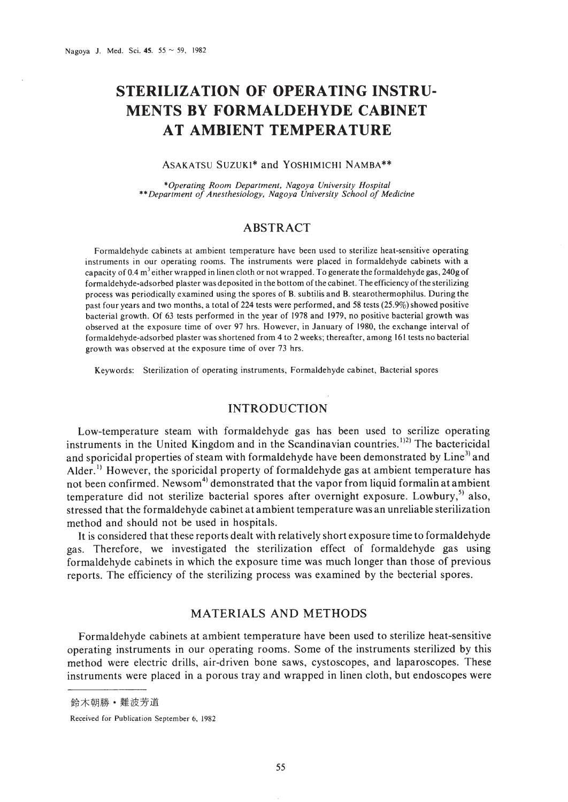# **STERILIZATION OF OPERATING INSTRU-MENTS BY FORMALDEHYDE CABINET AT AMBIENT TEMPERATURE**

## ASAKATSU SUZUK1\* and YOSHIMICHI NAMBA\*\*

*\*Operacing Room Department, Nagoya University Hospital* \*\**Department of Anesthesiology, Nagoya University School of Medicine*

## ABSTRACT

Formaldehyde cabinets at ambient temperature have been used to sterilize heat-sensitive operating instruments in our operating rooms. The instruments were placed in formaldehyde cabinets with a capacity of 0.4 m<sup>3</sup> either wrapped in linen cloth or not wrapped. To generate the formaldehyde gas, 240g of formaldehyde-adsorbed plaster was deposited in the bottom of the cabinet. The efficiency of the sterilizing process was periodically examined using the spores of B. subtilis and B. stearothermophilus. During the past four years and two months, a total of 224 tests were performed, and 58 tests (25.9%) showed positive bacterial growth. Of 63 tests performed in the year of 1978 and 1979, no positive bacterial growth was observed at the exposure time of over 97 hrs. However, in January of 1980, the exchange interval of formaldehyde-adsorbed plaster was shortened from 4 to 2 weeks; thereafter, among 161 tests no bacterial growth was observed at the exposure time of over 73 hrs.

Keywords: Sterilization of operating instruments, Formaldehyde cabinet, Bacterial spores

## INTRODUCTION

Low-temperature steam with formaldehyde gas has been used to serilize operating instruments in the United Kingdom and in the Scandinavian countries.<sup>1121</sup> The bactericidal and sporicidal properties of steam with formaldehyde have been demonstrated by  $\mathop{\rm Line^{3}}\nolimits$  and Alder.<sup>1)</sup> However, the sporicidal property of formaldehyde gas at ambient temperature has not been confirmed. Newsom $^{4)}$  demonstrated that the vapor from liquid formalin at ambient temperature did not sterilize bacterial spores after overnight exposure. Lowbury, $^{5}$  also, stressed that the formaldehyde cabinet at ambient temperature was an unreliable sterilization method and should not be used in hospitals.

It is considered that these reports dealt with relatively short exposure time to formaldehyde gas. Therefore, we investigated the sterilization effect of formaldehyde gas using formaldehyde cabinets in which the exposure time was much longer than those of previous reports. The efficiency of the sterilizing process was examined by the becterial spores.

## MATERIALS AND METHODS

Formaldehyde cabinets at ambient temperature have been used to sterilize heat-sensitive operating instruments in our operating rooms. Some of the instruments sterilized by this method were electric drills, air-driven bone saws, cystoscopes, and laparoscopes. These instruments were placed in a porous tray and wrapped in linen cloth, but endoscopes were

鈴木朝勝 · 難波芳道

Received for Publication September 6, 1982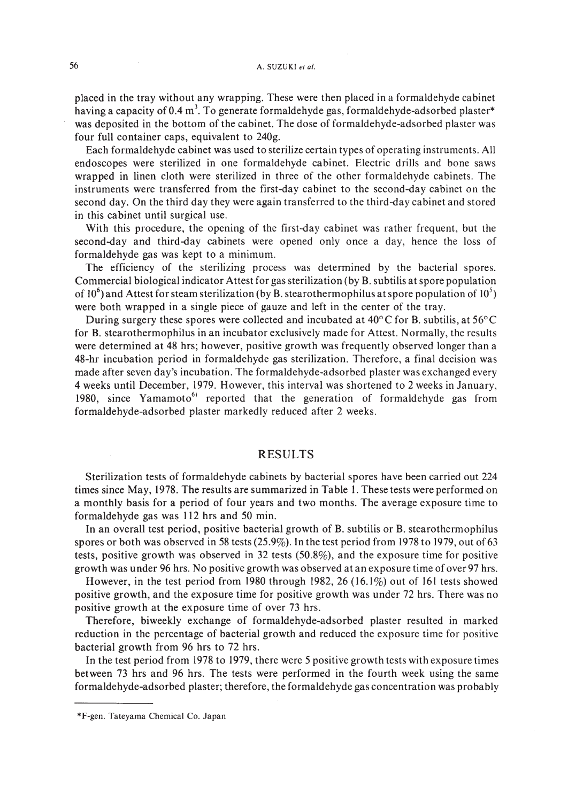placed in the tray without any wrapping. These were then placed in a formaldehyde cabinet having a capacity of 0.4 m<sup>3</sup>. To generate formaldehyde gas, formaldehyde-adsorbed plaster\* was deposited in the bottom of the cabinet. The dose of formaldehyde-adsorbed plaster was four full container caps, equivalent to 240g.

Each formaldehyde cabinet was used to sterilize certain types of operating instruments. All endoscopes were sterilized in one formaldehyde cabinet. Electric drills and bone saws wrapped in linen cloth were sterilized in three of the other formaldehyde cabinets. The instruments were transferred from the first-day cabinet to the second-day cabinet on the second day. On the third day they were again transferred to the third-day cabinet and stored in this cabinet until surgical use.

With this procedure, the opening of the first-day cabinet was rather frequent, but the second-day and third-day cabinets were opened only once a day, hence the loss of formaldehyde gas was kept to a minimum.

The efficiency of the sterilizing process was determined by the bacterial spores. Commercial biological indicator Attest for gas sterilization (by B. subtilis at spore population of 10<sup>6</sup>) and Attest for steam sterilization (by B. stearothermophilus at spore population of 10<sup>5</sup>) were both wrapped in a single piece of gauze and left in the center of the tray.

During surgery these spores were collected and incubated at 40°C for B. subtilis, at 56°C for B. stearothermophilus in an incubator exclusively made for Attest. Normally, the results were determined at 48 hrs; however, positive growth was frequently observed longer than a 48-hr incubation period in formaldehyde gas sterilization. Therefore, a final decision was made after seven day's incubation. The formaldehyde-adsorbed plaster was exchanged every 4 weeks until December, 1979. However, this interval was shortened to 2 weeks in January, 1980, since Yamamoto<sup>6</sup> reported that the generation of formaldehyde gas from formaldehyde-adsorbed plaster markedly reduced after 2 weeks.

### RESULTS

Sterilization tests of formaldehyde cabinets by bacterial spores have been carried out 224 times since May, 1978. The results are summarized in Table I. These tests were performed on a monthly basis for a period of four years and two months. The average exposure time to formaldehyde gas was 112 hrs and 50 min.

In an overall test period, positive bacterial growth of B. subtilis or B. stearothermophilus spores or both was observed in 58 tests (25.9%). In the test period from 1978 to 1979, out of 63 tests, positive growth was observed in 32 tests (50.8%), and the exposure time for positive growth was under 96 hrs. No positive growth was observed atan exposure time of over97 hrs.

However, in the test period from 1980 through 1982,26 (16.1%) out of 161 tests showed positive growth, and the exposure time for positive growth was under 72 hrs. There was no positive growth at the exposure time of over 73 hrs.

Therefore, biweekly exchange of formaldehyde-adsorbed plaster resulted in marked reduction in the percentage of bacterial growth and reduced the exposure time for positive bacterial growth from 96 hrs to 72 hrs.

In the test period from 1978 to 1979, there were 5 positive growth tests with exposure times between 73 hrs and 96 hrs. The tests were performed in the fourth week using the same formaldehyde-adsorbed plaster; therefore, the formaldehyde gas concentration was probably

<sup>\*</sup>F-gen. Tateyama Chemical Co. Japan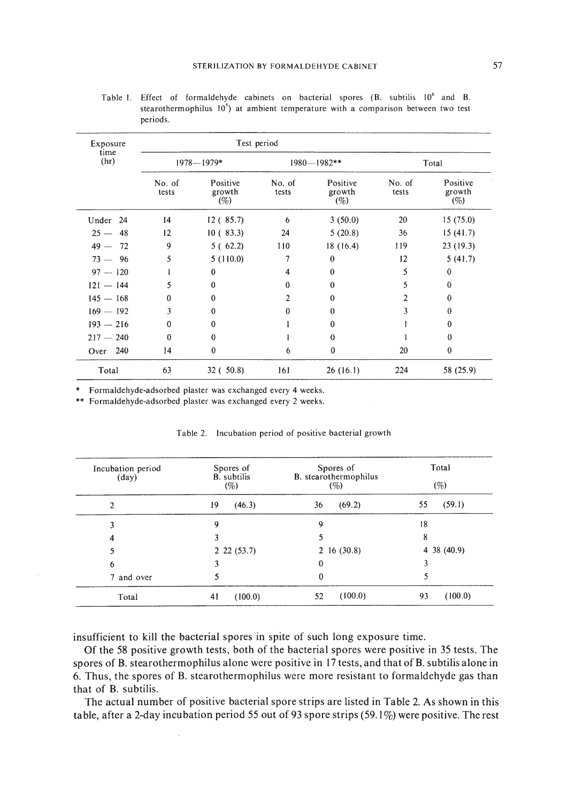| Exposure<br>time<br>(hr) | Test period     |                           |                 |                           |                 |                           |
|--------------------------|-----------------|---------------------------|-----------------|---------------------------|-----------------|---------------------------|
|                          | $1978 - 1979*$  |                           | 1980-1982**     |                           | Total           |                           |
|                          | No. of<br>tests | Positive<br>growth<br>(%) | No. of<br>tests | Positive<br>growth<br>(%) | No. of<br>tests | Positive<br>growth<br>(%) |
| Under 24                 | 14              | 12 (85.7)                 | 6               | 3(50.0)                   | 20              | 15(75.0)                  |
| $25 - 48$                | 12              | 10(83.3)                  | 24              | 5(20.8)                   | 36              | 15(41.7)                  |
| $49 - 72$                | 9               | 5(62.2)                   | 110             | 18(16.4)                  | 119             | 23(19.3)                  |
| $73 - 96$                | 5               | 5(110.0)                  | 7               | $\bf{0}$                  | 12              | 5(41.7)                   |
| $97 - 120$               |                 | $\bf{0}$                  | 4               | 0                         | 5               | $\bf{0}$                  |
| $121 - 144$              | 5               | $\theta$                  | 0               | $\theta$                  | 5               | $\mathbf{0}$              |
| $145 - 168$              | $\mathbf{0}$    | $\theta$                  | $\mathbf{2}$    | $\theta$                  | 2               | $\bf{0}$                  |
| $169 - 192$              | 3               | $\bf{0}$                  | $\Omega$        | $\bf{0}$                  | 3               | $\theta$                  |
| $193 - 216$              | $\theta$        | $\mathbf{0}$              |                 | $\theta$                  |                 | $\Omega$                  |
| $217 - 240$              | $\theta$        | $\bf{0}$                  |                 | $\theta$                  |                 | $\mathbf{0}$              |
| Over 240                 | 14              | $\bf{0}$                  | 6               | $\bf{0}$                  | 20              | $\theta$                  |
| Total                    | 63              | 32(.50.8)                 | 161             | 26(16.1)                  | 224             | 58 (25.9)                 |

Table I. Effect of formaldehyde cabinets on bacterial spores (B. subtilis 10<sup>6</sup> and B. stearothermophilus  $10<sup>5</sup>$ ) at ambient temperature with a comparison between two test periods.

\* Formaldehyde-adsorbed plaster was exchanged every 4 weeks.

\*\* Formaldehyde-adsorbed plaster was exchanged every 2 weeks.

| Incubation period<br>$(\text{day})$ | Spores of<br><b>B.</b> subtilis<br>(%) | Spores of<br>B. stearothermophilus<br>(%) | Total<br>(%)    |
|-------------------------------------|----------------------------------------|-------------------------------------------|-----------------|
| $\overline{c}$                      | 19<br>(46.3)                           | (69.2)<br>36                              | (59.1)<br>55    |
| 3                                   | 9                                      | 9                                         | 18              |
| 4                                   |                                        |                                           | 8               |
| 5                                   | 2, 22, (53.7)                          | $2\;16\; (30.8)$                          | $4\,38\,(40.9)$ |
| 6                                   |                                        | $\bf{0}$                                  |                 |
| 7 and over                          |                                        | 0                                         |                 |
| Total                               | 41<br>(100.0)                          | (100.0)<br>52                             | (100.0)<br>93   |

#### Table 2. Incubation period of positive bacterial growth

insufficient to kill the bacterial spores in spite of such long exposure time.

Of the 58 positive growth tests, both of the bacterial spores were positive in 35 tests. The spores of B. stearothermophilus alone were positive in 17 tests, and that of B. subtilis alone in 6. Thus, the spores of B. stearothermophilus were more resistant to formaldehyde gas than that of B. subtilis.

The actual number of positive bacterial spore strips are listed in Table 2. As shown in this table, after a 2-day incubation period 55 out of 93 spore strips (59.1%) were positive. The rest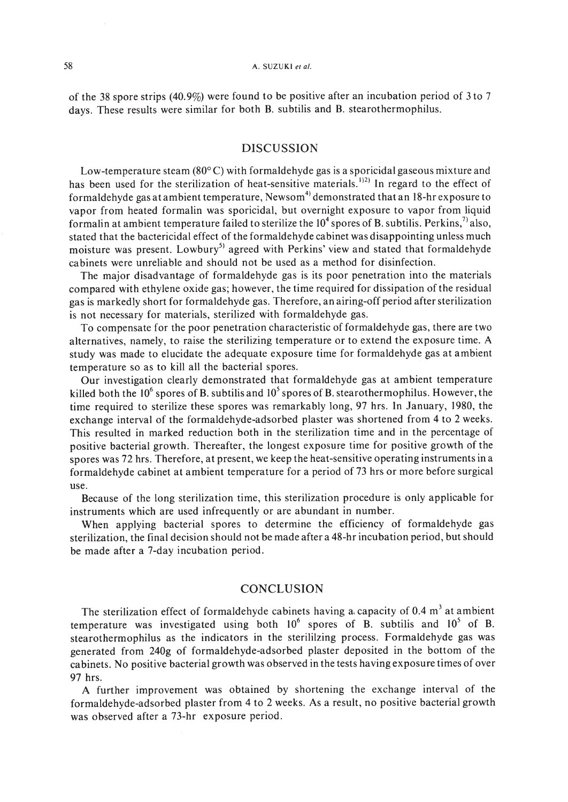of the 38 spore strips (40.9%) were found to be positive after an incubation period of 3 to 7 days. These results were similar for both B. subtilis and B. stearothermophilus.

## DISCUSSION

Low-temperature steam ( $80^{\circ}$ C) with formaldehyde gas is a sporicidal gaseous mixture and has been used for the sterilization of heat-sensitive materials.<sup>1121</sup> In regard to the effect of formaldehyde gas at ambient temperature,  $\mathrm{Newsom}^{4)}$  demonstrated that an 18-hr exposure to vapor from heated formalin was sporicidal, but overnight exposure to vapor from liquid formalin at ambient temperature failed to sterilize the  $10<sup>4</sup>$  spores of B. subtilis. Perkins,<sup>7)</sup> also, stated that the bactericidal effect of the formaldehyde cabinet was disappointing unless much moisture was present. Lowbury<sup>5)</sup> agreed with Perkins' view and stated that formaldehyde cabinets were unreliable and should not be used as a method for disinfection.

The major disadvantage of formaldehyde gas is its poor penetration into the materials compared with ethylene oxide gas; however, the time required for dissipation of the residual gas is markedly short for formaldehyde gas. Therefore, an airing-off period after sterilization is not necessary for materials, sterilized with formaldehyde gas.

To compensate for the poor penetration characteristic of formaldehyde gas, there are two alternatives, namely, to raise the sterilizing temperature or to extend the exposure time. A study was made to elucidate the adequate exposure time for formaldehyde gas at ambient temperature so as to kill all the bacterial spores.

Our investigation clearly demonstrated that formaldehyde gas at ambient temperature killed both the  $10^6$  spores of B. subtilis and  $10^5$  spores of B. stearothermophilus. However, the time required to sterilize these spores was remarkably long, 97 hrs. In January, 1980, the exchange interval of the formaldehyde-adsorbed plaster was shortened from 4 to 2 weeks. This resulted in marked reduction both in the sterilization time and in the percentage of positive bacterial growth. Thereafter, the longest exposure time for positive growth of the spores was 72 hrs. Therefore, at present, we keep the heat-sensitive operating instruments in a formaldehyde cabinet at ambient temperature for a period of 73 hrs or more before surgical use.

Because of the long sterilization time, this sterilization procedure is only applicable for instruments which are used infrequently or are abundant in number.

When applying bacterial spores to determine the efficiency of formaldehyde gas sterilization, the final decision should not be made after a 48-hr incubation period, but should be made after a 7-day incubation period.

## **CONCLUSION**

The sterilization effect of formaldehyde cabinets having a capacity of  $0.4 \text{ m}^3$  at ambient temperature was investigated using both  $10^6$  spores of B. subtilis and  $10^5$  of B. stearothermophilus as the indicators in the sterililzing process. Formaldehyde gas was generated from 240g of formaldehyde-adsorbed plaster deposited in the bottom of the cabinets. No positive bacterial growth was observed in the tests having exposure times of over 97 hrs.

A further improvement was obtained by shortening the exchange interval of the formaldehyde-adsorbed plaster from 4 to 2 weeks. As a result, no positive bacterial growth was observed after a 73-hr exposure period.